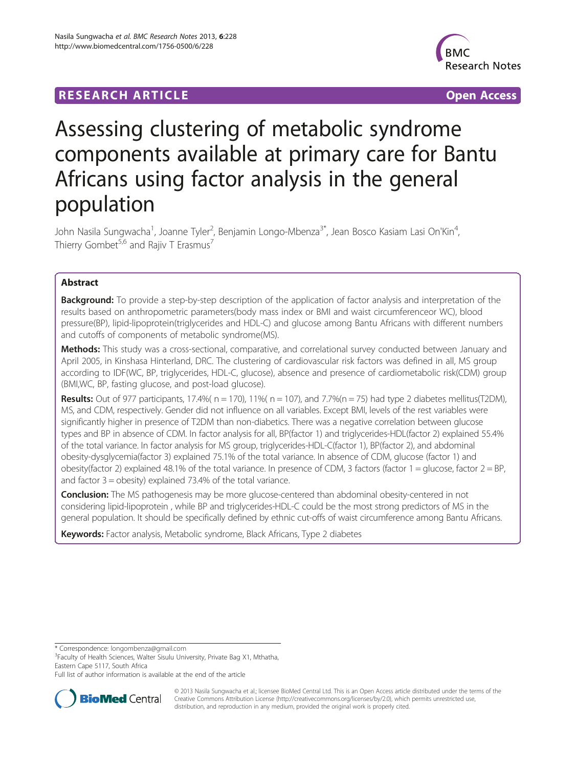# **RESEARCH ARTICLE Example 2014 CONSIDERING A RESEARCH ARTICLE**



# Assessing clustering of metabolic syndrome components available at primary care for Bantu Africans using factor analysis in the general population

John Nasila Sungwacha<sup>1</sup>, Joanne Tyler<sup>2</sup>, Benjamin Longo-Mbenza<sup>3\*</sup>, Jean Bosco Kasiam Lasi On'Kin<sup>4</sup> , Thierry Gombet<sup>5,6</sup> and Rajiv T Erasmus<sup>7</sup>

# Abstract

Background: To provide a step-by-step description of the application of factor analysis and interpretation of the results based on anthropometric parameters(body mass index or BMI and waist circumferenceor WC), blood pressure(BP), lipid-lipoprotein(triglycerides and HDL-C) and glucose among Bantu Africans with different numbers and cutoffs of components of metabolic syndrome(MS).

Methods: This study was a cross-sectional, comparative, and correlational survey conducted between January and April 2005, in Kinshasa Hinterland, DRC. The clustering of cardiovascular risk factors was defined in all, MS group according to IDF(WC, BP, triglycerides, HDL-C, glucose), absence and presence of cardiometabolic risk(CDM) group (BMI,WC, BP, fasting glucose, and post-load glucose).

Results: Out of 977 participants, 17.4%( $n = 170$ ), 11%( $n = 107$ ), and 7.7%( $n = 75$ ) had type 2 diabetes mellitus(T2DM), MS, and CDM, respectively. Gender did not influence on all variables. Except BMI, levels of the rest variables were significantly higher in presence of T2DM than non-diabetics. There was a negative correlation between glucose types and BP in absence of CDM. In factor analysis for all, BP(factor 1) and triglycerides-HDL(factor 2) explained 55.4% of the total variance. In factor analysis for MS group, triglycerides-HDL-C(factor 1), BP(factor 2), and abdominal obesity-dysglycemia(factor 3) explained 75.1% of the total variance. In absence of CDM, glucose (factor 1) and obesity(factor 2) explained 48.1% of the total variance. In presence of CDM, 3 factors (factor  $1 =$  qlucose, factor  $2 = BP$ , and factor 3 = obesity) explained 73.4% of the total variance.

Conclusion: The MS pathogenesis may be more glucose-centered than abdominal obesity-centered in not considering lipid-lipoprotein , while BP and triglycerides-HDL-C could be the most strong predictors of MS in the general population. It should be specifically defined by ethnic cut-offs of waist circumference among Bantu Africans.

Keywords: Factor analysis, Metabolic syndrome, Black Africans, Type 2 diabetes

\* Correspondence: [longombenza@gmail.com](mailto:longombenza@gmail.com) <sup>3</sup>

<sup>3</sup> Faculty of Health Sciences, Walter Sisulu University, Private Bag X1, Mthatha, Eastern Cape 5117, South Africa

Full list of author information is available at the end of the article



© 2013 Nasila Sungwacha et al.; licensee BioMed Central Ltd. This is an Open Access article distributed under the terms of the Creative Commons Attribution License (<http://creativecommons.org/licenses/by/2.0>), which permits unrestricted use, distribution, and reproduction in any medium, provided the original work is properly cited.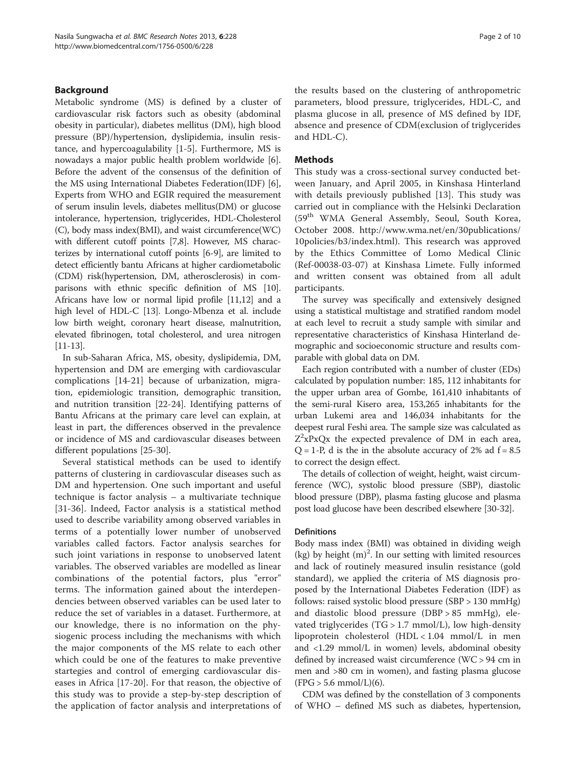# Background

Metabolic syndrome (MS) is defined by a cluster of cardiovascular risk factors such as obesity (abdominal obesity in particular), diabetes mellitus (DM), high blood pressure (BP)/hypertension, dyslipidemia, insulin resistance, and hypercoagulability [\[1](#page-8-0)-[5\]](#page-8-0). Furthermore, MS is nowadays a major public health problem worldwide [\[6](#page-8-0)]. Before the advent of the consensus of the definition of the MS using International Diabetes Federation(IDF) [\[6](#page-8-0)], Experts from WHO and EGIR required the measurement of serum insulin levels, diabetes mellitus(DM) or glucose intolerance, hypertension, triglycerides, HDL-Cholesterol (C), body mass index(BMI), and waist circumference(WC) with different cutoff points [\[7,8](#page-8-0)]. However, MS characterizes by international cutoff points [[6-9\]](#page-8-0), are limited to detect efficiently bantu Africans at higher cardiometabolic (CDM) risk(hypertension, DM, atherosclerosis) in comparisons with ethnic specific definition of MS [[10](#page-8-0)]. Africans have low or normal lipid profile [\[11,12](#page-8-0)] and a high level of HDL-C [\[13\]](#page-8-0). Longo-Mbenza et al. include low birth weight, coronary heart disease, malnutrition, elevated fibrinogen, total cholesterol, and urea nitrogen [[11](#page-8-0)-[13\]](#page-8-0).

In sub-Saharan Africa, MS, obesity, dyslipidemia, DM, hypertension and DM are emerging with cardiovascular complications [\[14-21](#page-8-0)] because of urbanization, migration, epidemiologic transition, demographic transition, and nutrition transition [[22-24\]](#page-8-0). Identifying patterns of Bantu Africans at the primary care level can explain, at least in part, the differences observed in the prevalence or incidence of MS and cardiovascular diseases between different populations [\[25](#page-8-0)-[30](#page-8-0)].

Several statistical methods can be used to identify patterns of clustering in cardiovascular diseases such as DM and hypertension. One such important and useful technique is factor analysis – a multivariate technique [[31-36\]](#page-9-0). Indeed, Factor analysis is a statistical method used to describe variability among observed variables in terms of a potentially lower number of unobserved variables called factors. Factor analysis searches for such joint variations in response to unobserved latent variables. The observed variables are modelled as linear combinations of the potential factors, plus "error" terms. The information gained about the interdependencies between observed variables can be used later to reduce the set of variables in a dataset. Furthermore, at our knowledge, there is no information on the physiogenic process including the mechanisms with which the major components of the MS relate to each other which could be one of the features to make preventive startegies and control of emerging cardiovascular diseases in Africa [\[17](#page-8-0)-[20\]](#page-8-0). For that reason, the objective of this study was to provide a step-by-step description of the application of factor analysis and interpretations of

the results based on the clustering of anthropometric parameters, blood pressure, triglycerides, HDL-C, and plasma glucose in all, presence of MS defined by IDF, absence and presence of CDM(exclusion of triglycerides and HDL-C).

# Methods

This study was a cross-sectional survey conducted between January, and April 2005, in Kinshasa Hinterland with details previously published [[13\]](#page-8-0). This study was carried out in compliance with the Helsinki Declaration (59<sup>th</sup> WMA General Assembly, Seoul, South Korea, October 2008. [http://www.wma.net/en/30publications/](http://www.wma.net/en/30publications/10policies/b3/index.html) [10policies/b3/index.html](http://www.wma.net/en/30publications/10policies/b3/index.html)). This research was approved by the Ethics Committee of Lomo Medical Clinic (Ref-00038-03-07) at Kinshasa Limete. Fully informed and written consent was obtained from all adult participants.

The survey was specifically and extensively designed using a statistical multistage and stratified random model at each level to recruit a study sample with similar and representative characteristics of Kinshasa Hinterland demographic and socioeconomic structure and results comparable with global data on DM.

Each region contributed with a number of cluster (EDs) calculated by population number: 185, 112 inhabitants for the upper urban area of Gombe, 161,410 inhabitants of the semi-rural Kisero area, 153,265 inhabitants for the urban Lukemi area and 146,034 inhabitants for the deepest rural Feshi area. The sample size was calculated as  $Z^2xPxQx$  the expected prevalence of DM in each area,  $Q = 1-P$ , d is the in the absolute accuracy of 2% ad  $f = 8.5$ to correct the design effect.

The details of collection of weight, height, waist circumference (WC), systolic blood pressure (SBP), diastolic blood pressure (DBP), plasma fasting glucose and plasma post load glucose have been described elsewhere [[30](#page-8-0)[-32\]](#page-9-0).

# **Definitions**

Body mass index (BMI) was obtained in dividing weigh (kg) by height (m)<sup>2</sup> . In our setting with limited resources and lack of routinely measured insulin resistance (gold standard), we applied the criteria of MS diagnosis proposed by the International Diabetes Federation (IDF) as follows: raised systolic blood pressure (SBP > 130 mmHg) and diastolic blood pressure (DBP > 85 mmHg), elevated triglycerides (TG > 1.7 mmol/L), low high-density lipoprotein cholesterol (HDL < 1.04 mmol/L in men and <1.29 mmol/L in women) levels, abdominal obesity defined by increased waist circumference (WC > 94 cm in men and >80 cm in women), and fasting plasma glucose  $(FPG > 5.6 \text{ mmol/L})(6)$ .

CDM was defined by the constellation of 3 components of WHO – defined MS such as diabetes, hypertension,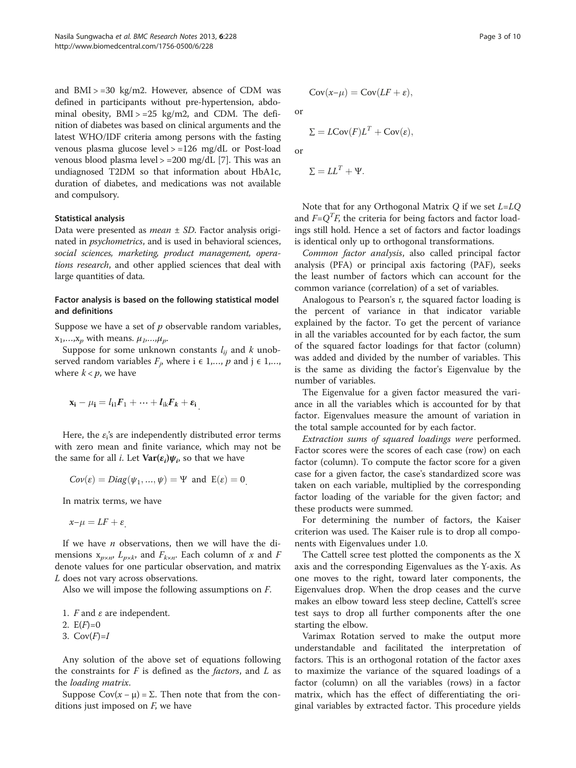and  $BMI > =30$  kg/m2. However, absence of CDM was defined in participants without pre-hypertension, abdominal obesity,  $BMI > =25$  kg/m2, and CDM. The definition of diabetes was based on clinical arguments and the latest WHO/IDF criteria among persons with the fasting venous plasma glucose level > =126 mg/dL or Post-load venous blood plasma level  $> =200$  mg/dL [[7](#page-8-0)]. This was an undiagnosed T2DM so that information about HbA1c, duration of diabetes, and medications was not available and compulsory.

#### Statistical analysis

Data were presented as *mean*  $\pm$  SD. Factor analysis originated in psychometrics, and is used in behavioral sciences, social sciences, marketing, product management, operations research, and other applied sciences that deal with large quantities of data.

# Factor analysis is based on the following statistical model and definitions

Suppose we have a set of  $p$  observable random variables,  $x_1,...,x_p$  with means.  $\mu_1,...,\mu_p$ .

Suppose for some unknown constants  $l_{ii}$  and k unobserved random variables  $F_j$ , where i  $\in$  1,...,  $p$  and j  $\in$  1,..., where  $k < p$ , we have

$$
\mathbf{x_i} - \mu_i = l_{i1}F_1 + \dots + l_{ik}F_k + \varepsilon_i
$$

Here, the  $\varepsilon_i$ 's are independently distributed error terms with zero mean and finite variance, which may not be the same for all *i*. Let  $Var(\varepsilon_i)\psi_i$ , so that we have

$$
Cov(\varepsilon) = Diag(\psi_1, ..., \psi) = \Psi
$$
 and  $E(\varepsilon) = 0$ .

In matrix terms, we have

$$
x-\mu = LF + \varepsilon
$$

If we have  $n$  observations, then we will have the dimensions  $x_{p\times n}$ ,  $L_{p\times k}$ , and  $F_{k\times n}$ . Each column of x and F denote values for one particular observation, and matrix L does not vary across observations.

Also we will impose the following assumptions on F.

- 1.  $F$  and  $\varepsilon$  are independent.
- 2.  $E(F)=0$
- 3.  $Cov(F)=I$

Any solution of the above set of equations following the constraints for  $F$  is defined as the *factors*, and  $L$  as the loading matrix.

Suppose  $Cov(x - \mu) = \Sigma$ . Then note that from the conditions just imposed on  $F$ , we have

$$
Cov(x-\mu) = Cov(LF + \varepsilon),
$$

or

$$
\Sigma = L\mathrm{Cov}(F)L^T + \mathrm{Cov}(\varepsilon),
$$

or

$$
\Sigma = LL^T + \Psi.
$$

Note that for any Orthogonal Matrix  $Q$  if we set  $L = LQ$ and  $F = Q<sup>T</sup>F$ , the criteria for being factors and factor loadings still hold. Hence a set of factors and factor loadings is identical only up to orthogonal transformations.

Common factor analysis, also called principal factor analysis (PFA) or principal axis factoring (PAF), seeks the least number of factors which can account for the common variance (correlation) of a set of variables.

Analogous to Pearson's r, the squared factor loading is the percent of variance in that indicator variable explained by the factor. To get the percent of variance in all the variables accounted for by each factor, the sum of the squared factor loadings for that factor (column) was added and divided by the number of variables. This is the same as dividing the factor's Eigenvalue by the number of variables.

The Eigenvalue for a given factor measured the variance in all the variables which is accounted for by that factor. Eigenvalues measure the amount of variation in the total sample accounted for by each factor.

Extraction sums of squared loadings were performed. Factor scores were the scores of each case (row) on each factor (column). To compute the factor score for a given case for a given factor, the case's standardized score was taken on each variable, multiplied by the corresponding factor loading of the variable for the given factor; and these products were summed.

For determining the number of factors, the Kaiser criterion was used. The Kaiser rule is to drop all components with Eigenvalues under 1.0.

The Cattell scree test plotted the components as the X axis and the corresponding Eigenvalues as the Y-axis. As one moves to the right, toward later components, the Eigenvalues drop. When the drop ceases and the curve makes an elbow toward less steep decline, Cattell's scree test says to drop all further components after the one starting the elbow.

Varimax Rotation served to make the output more understandable and facilitated the interpretation of factors. This is an orthogonal rotation of the factor axes to maximize the variance of the squared loadings of a factor (column) on all the variables (rows) in a factor matrix, which has the effect of differentiating the original variables by extracted factor. This procedure yields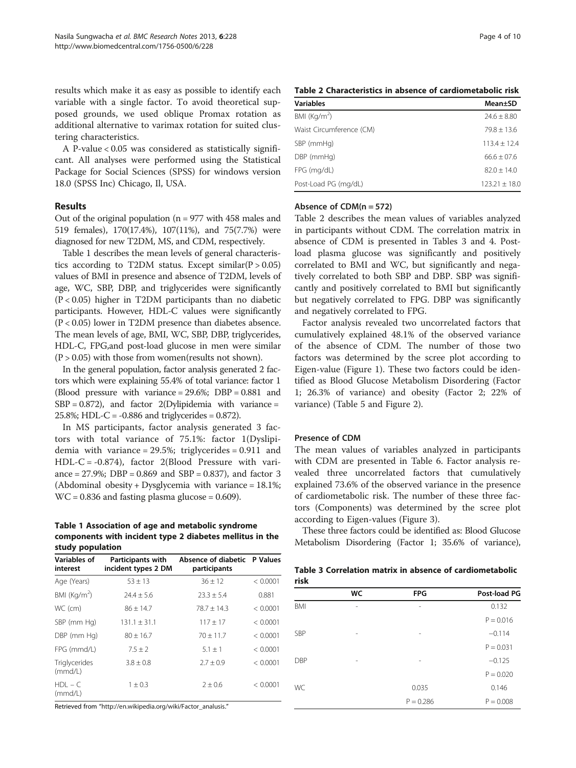results which make it as easy as possible to identify each variable with a single factor. To avoid theoretical supposed grounds, we used oblique Promax rotation as additional alternative to varimax rotation for suited clustering characteristics.

A P-value < 0.05 was considered as statistically significant. All analyses were performed using the Statistical Package for Social Sciences (SPSS) for windows version 18.0 (SPSS Inc) Chicago, Il, USA.

#### Results

Out of the original population ( $n = 977$  with 458 males and 519 females), 170(17.4%), 107(11%), and 75(7.7%) were diagnosed for new T2DM, MS, and CDM, respectively.

Table 1 describes the mean levels of general characteristics according to T2DM status. Except similar( $P > 0.05$ ) values of BMI in presence and absence of T2DM, levels of age, WC, SBP, DBP, and triglycerides were significantly (P < 0.05) higher in T2DM participants than no diabetic participants. However, HDL-C values were significantly (P < 0.05) lower in T2DM presence than diabetes absence. The mean levels of age, BMI, WC, SBP, DBP, triglycerides, HDL-C, FPG,and post-load glucose in men were similar  $(P > 0.05)$  with those from women(results not shown).

In the general population, factor analysis generated 2 factors which were explaining 55.4% of total variance: factor 1 (Blood pressure with variance = 29.6%; DBP = 0.881 and  $SBP = 0.872$ ), and factor 2(Dylipidemia with variance = 25.8%; HDL-C = -0.886 and triglycerides =  $0.872$ ).

In MS participants, factor analysis generated 3 factors with total variance of 75.1%: factor 1(Dyslipidemia with variance = 29.5%; triglycerides = 0.911 and HDL-C = -0.874), factor 2(Blood Pressure with variance =  $27.9\%$ ; DBP =  $0.869$  and SBP =  $0.837$ ), and factor 3 (Abdominal obesity + Dysglycemia with variance = 18.1%;  $WC = 0.836$  and fasting plasma glucose = 0.609).

Table 1 Association of age and metabolic syndrome components with incident type 2 diabetes mellitus in the study population

| Variables of<br>interest | Participants with<br>incident types 2 DM | Absence of diabetic P Values<br>participants |          |
|--------------------------|------------------------------------------|----------------------------------------------|----------|
| Age (Years)              | $53 \pm 13$                              | $36 \pm 12$                                  | < 0.0001 |
| BMI $(Kq/m2)$            | $24.4 \pm 5.6$                           | $23.3 \pm 5.4$                               | 0.881    |
| WC (cm)                  | $86 + 14.7$                              | $78.7 + 14.3$                                | < 0.0001 |
| SBP (mm Hg)              | $131.1 \pm 31.1$                         | $117 \pm 17$                                 | < 0.0001 |
| DBP (mm Hg)              | $80 + 16.7$                              | $70 + 11.7$                                  | < 0.0001 |
| FPG (mmd/L)              | $7.5 \pm 2$                              | $5.1 \pm 1$                                  | < 0.0001 |
| Triglycerides<br>(mmd/L) | $3.8 \pm 0.8$                            | $2.7 + 0.9$                                  | < 0.0001 |
| $HD = C$<br>(mmd/L)      | $1 \pm 0.3$                              | $7 + 0.6$                                    | < 0.0001 |

Retrieved from "[http://en.wikipedia.org/wiki/Factor\\_analusis.](http://en.wikipedia.org/wiki/Factor_analusis)"

Table 2 Characteristics in absence of cardiometabolic risk

| <b>Variables</b>         | Mean±SD         |
|--------------------------|-----------------|
| BMI ( $\text{Kg/m}^2$ )  | $74.6 + 8.80$   |
| Waist Circumference (CM) | $79.8 + 13.6$   |
| SBP (mmHg)               | $113.4 + 12.4$  |
| DBP (mmHg)               | $66.6 + 07.6$   |
| FPG (mg/dL)              | $82.0 + 14.0$   |
| Post-Load PG (mg/dL)     | $123.21 + 18.0$ |

#### Absence of CDM(n = 572)

Table 2 describes the mean values of variables analyzed in participants without CDM. The correlation matrix in absence of CDM is presented in Tables 3 and [4](#page-4-0). Postload plasma glucose was significantly and positively correlated to BMI and WC, but significantly and negatively correlated to both SBP and DBP. SBP was significantly and positively correlated to BMI but significantly but negatively correlated to FPG. DBP was significantly and negatively correlated to FPG.

Factor analysis revealed two uncorrelated factors that cumulatively explained 48.1% of the observed variance of the absence of CDM. The number of those two factors was determined by the scree plot according to Eigen-value (Figure [1\)](#page-4-0). These two factors could be identified as Blood Glucose Metabolism Disordering (Factor 1; 26.3% of variance) and obesity (Factor 2; 22% of variance) (Table [5](#page-5-0) and Figure [2](#page-5-0)).

#### Presence of CDM

The mean values of variables analyzed in participants with CDM are presented in Table [6](#page-6-0). Factor analysis revealed three uncorrelated factors that cumulatively explained 73.6% of the observed variance in the presence of cardiometabolic risk. The number of these three factors (Components) was determined by the scree plot according to Eigen-values (Figure [3\)](#page-6-0).

These three factors could be identified as: Blood Glucose Metabolism Disordering (Factor 1; 35.6% of variance),

|      |  | Table 3 Correlation matrix in absence of cardiometabolic |
|------|--|----------------------------------------------------------|
| risk |  |                                                          |

|            | WC                           | <b>FPG</b>               | Post-load PG |
|------------|------------------------------|--------------------------|--------------|
| <b>BMI</b> | ٠                            | $\overline{\phantom{0}}$ | 0.132        |
|            |                              |                          | $P = 0.016$  |
| <b>SBP</b> | $\qquad \qquad \blacksquare$ | $\overline{\phantom{0}}$ | $-0.114$     |
|            |                              |                          | $P = 0.031$  |
| <b>DBP</b> | $\qquad \qquad$              | -                        | $-0.125$     |
|            |                              |                          | $P = 0.020$  |
| WC         |                              | 0.035                    | 0.146        |
|            |                              | $P = 0.286$              | $P = 0.008$  |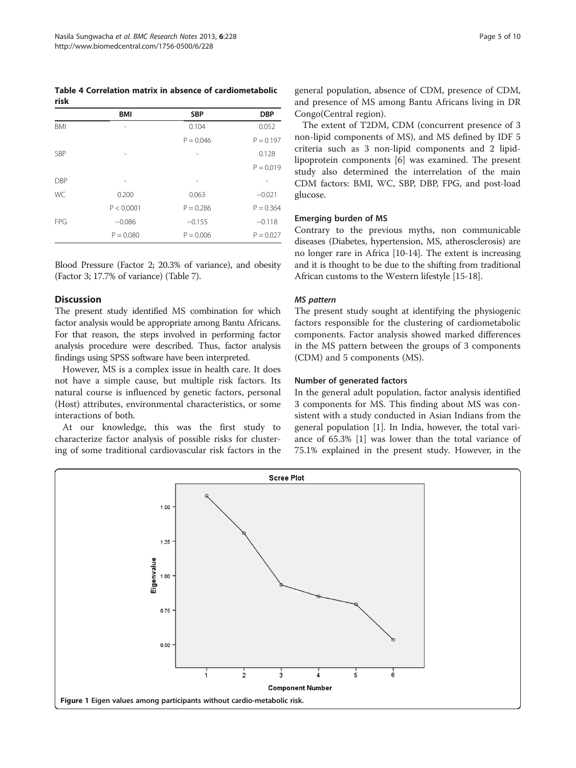<span id="page-4-0"></span>Table 4 Correlation matrix in absence of cardiometabolic risk

|            | <b>BMI</b>  | <b>SBP</b>  | <b>DBP</b>  |
|------------|-------------|-------------|-------------|
| <b>BMI</b> |             | 0.104       | 0.052       |
|            |             | $P = 0.046$ | $P = 0.197$ |
| <b>SBP</b> | -           |             | 0.128       |
|            |             |             | $P = 0.019$ |
| <b>DBP</b> | ۰           |             |             |
| WC         | 0.200       | 0.063       | $-0.021$    |
|            | P < 0.0001  | $P = 0.286$ | $P = 0.364$ |
| <b>FPG</b> | $-0.086$    | $-0.155$    | $-0.118$    |
|            | $P = 0.080$ | $P = 0.006$ | $P = 0.027$ |

Blood Pressure (Factor 2; 20.3% of variance), and obesity (Factor 3; 17.7% of variance) (Table [7\)](#page-7-0).

#### **Discussion**

The present study identified MS combination for which factor analysis would be appropriate among Bantu Africans. For that reason, the steps involved in performing factor analysis procedure were described. Thus, factor analysis findings using SPSS software have been interpreted.

However, MS is a complex issue in health care. It does not have a simple cause, but multiple risk factors. Its natural course is influenced by genetic factors, personal (Host) attributes, environmental characteristics, or some interactions of both.

At our knowledge, this was the first study to characterize factor analysis of possible risks for clustering of some traditional cardiovascular risk factors in the general population, absence of CDM, presence of CDM, and presence of MS among Bantu Africans living in DR Congo(Central region).

The extent of T2DM, CDM (concurrent presence of 3 non-lipid components of MS), and MS defined by IDF 5 criteria such as 3 non-lipid components and 2 lipidlipoprotein components [\[6](#page-8-0)] was examined. The present study also determined the interrelation of the main CDM factors: BMI, WC, SBP, DBP, FPG, and post-load glucose.

#### Emerging burden of MS

Contrary to the previous myths, non communicable diseases (Diabetes, hypertension, MS, atherosclerosis) are no longer rare in Africa [\[10-14\]](#page-8-0). The extent is increasing and it is thought to be due to the shifting from traditional African customs to the Western lifestyle [\[15-18\]](#page-8-0).

## MS pattern

The present study sought at identifying the physiogenic factors responsible for the clustering of cardiometabolic components. Factor analysis showed marked differences in the MS pattern between the groups of 3 components (CDM) and 5 components (MS).

#### Number of generated factors

In the general adult population, factor analysis identified 3 components for MS. This finding about MS was consistent with a study conducted in Asian Indians from the general population [[1\]](#page-8-0). In India, however, the total variance of 65.3% [\[1](#page-8-0)] was lower than the total variance of 75.1% explained in the present study. However, in the

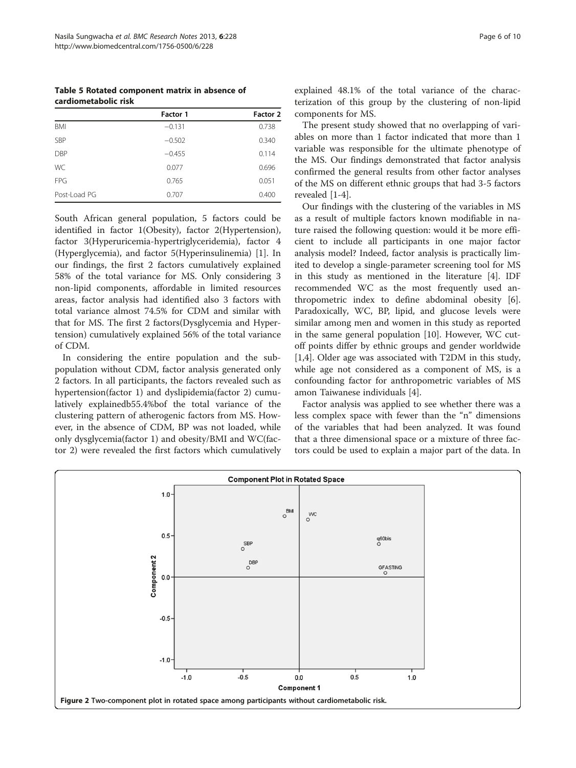<span id="page-5-0"></span>Table 5 Rotated component matrix in absence of cardiometabolic risk

|              | Factor 1 | Factor 2 |
|--------------|----------|----------|
| <b>BMI</b>   | $-0.131$ | 0.738    |
| SBP          | $-0.502$ | 0.340    |
| <b>DBP</b>   | $-0.455$ | 0.114    |
| WC           | 0.077    | 0.696    |
| <b>FPG</b>   | 0.765    | 0.051    |
| Post-Load PG | 0.707    | 0.400    |

South African general population, 5 factors could be identified in factor 1(Obesity), factor 2(Hypertension), factor 3(Hyperuricemia-hypertriglyceridemia), factor 4 (Hyperglycemia), and factor 5(Hyperinsulinemia) [[1\]](#page-8-0). In our findings, the first 2 factors cumulatively explained 58% of the total variance for MS. Only considering 3 non-lipid components, affordable in limited resources areas, factor analysis had identified also 3 factors with total variance almost 74.5% for CDM and similar with that for MS. The first 2 factors(Dysglycemia and Hypertension) cumulatively explained 56% of the total variance of CDM.

In considering the entire population and the subpopulation without CDM, factor analysis generated only 2 factors. In all participants, the factors revealed such as hypertension(factor 1) and dyslipidemia(factor 2) cumulatively explainedb55.4%bof the total variance of the clustering pattern of atherogenic factors from MS. However, in the absence of CDM, BP was not loaded, while only dysglycemia(factor 1) and obesity/BMI and WC(factor 2) were revealed the first factors which cumulatively

explained 48.1% of the total variance of the characterization of this group by the clustering of non-lipid components for MS.

The present study showed that no overlapping of variables on more than 1 factor indicated that more than 1 variable was responsible for the ultimate phenotype of the MS. Our findings demonstrated that factor analysis confirmed the general results from other factor analyses of the MS on different ethnic groups that had 3-5 factors revealed [\[1](#page-8-0)-[4\]](#page-8-0).

Our findings with the clustering of the variables in MS as a result of multiple factors known modifiable in nature raised the following question: would it be more efficient to include all participants in one major factor analysis model? Indeed, factor analysis is practically limited to develop a single-parameter screening tool for MS in this study as mentioned in the literature [\[4](#page-8-0)]. IDF recommended WC as the most frequently used anthropometric index to define abdominal obesity [\[6](#page-8-0)]. Paradoxically, WC, BP, lipid, and glucose levels were similar among men and women in this study as reported in the same general population [[10](#page-8-0)]. However, WC cutoff points differ by ethnic groups and gender worldwide [[1,4\]](#page-8-0). Older age was associated with T2DM in this study, while age not considered as a component of MS, is a confounding factor for anthropometric variables of MS amon Taiwanese individuals [[4\]](#page-8-0).

Factor analysis was applied to see whether there was a less complex space with fewer than the "n" dimensions of the variables that had been analyzed. It was found that a three dimensional space or a mixture of three factors could be used to explain a major part of the data. In

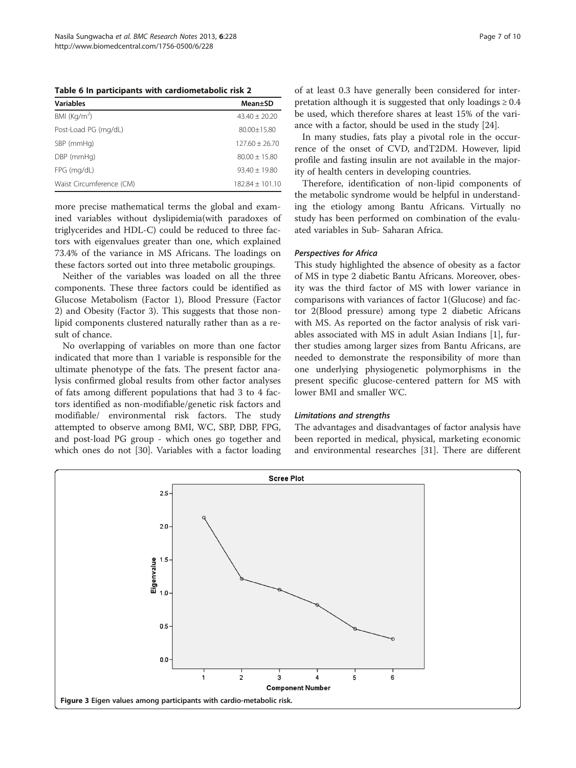<span id="page-6-0"></span>Table 6 In participants with cardiometabolic risk 2

| <b>Variables</b>         | Mean±SD             |
|--------------------------|---------------------|
| BMI ( $\text{Kg/m}^2$ )  | $43.40 + 20.20$     |
| Post-Load PG (mg/dL)     | $80.00 + 15.80$     |
| SBP (mmHg)               | $127.60 + 26.70$    |
| DBP (mmHg)               | $80.00 + 15.80$     |
| FPG (mg/dL)              | $93.40 + 19.80$     |
| Waist Circumference (CM) | $182.84 \pm 101.10$ |

more precise mathematical terms the global and examined variables without dyslipidemia(with paradoxes of triglycerides and HDL-C) could be reduced to three factors with eigenvalues greater than one, which explained 73.4% of the variance in MS Africans. The loadings on these factors sorted out into three metabolic groupings.

Neither of the variables was loaded on all the three components. These three factors could be identified as Glucose Metabolism (Factor 1), Blood Pressure (Factor 2) and Obesity (Factor 3). This suggests that those nonlipid components clustered naturally rather than as a result of chance.

No overlapping of variables on more than one factor indicated that more than 1 variable is responsible for the ultimate phenotype of the fats. The present factor analysis confirmed global results from other factor analyses of fats among different populations that had 3 to 4 factors identified as non-modifiable/genetic risk factors and modifiable/ environmental risk factors. The study attempted to observe among BMI, WC, SBP, DBP, FPG, and post-load PG group - which ones go together and which ones do not [[30\]](#page-8-0). Variables with a factor loading of at least 0.3 have generally been considered for interpretation although it is suggested that only loadings  $\geq 0.4$ be used, which therefore shares at least 15% of the variance with a factor, should be used in the study [[24](#page-8-0)].

In many studies, fats play a pivotal role in the occurrence of the onset of CVD, andT2DM. However, lipid profile and fasting insulin are not available in the majority of health centers in developing countries.

Therefore, identification of non-lipid components of the metabolic syndrome would be helpful in understanding the etiology among Bantu Africans. Virtually no study has been performed on combination of the evaluated variables in Sub- Saharan Africa.

#### Perspectives for Africa

This study highlighted the absence of obesity as a factor of MS in type 2 diabetic Bantu Africans. Moreover, obesity was the third factor of MS with lower variance in comparisons with variances of factor 1(Glucose) and factor 2(Blood pressure) among type 2 diabetic Africans with MS. As reported on the factor analysis of risk variables associated with MS in adult Asian Indians [[1\]](#page-8-0), further studies among larger sizes from Bantu Africans, are needed to demonstrate the responsibility of more than one underlying physiogenetic polymorphisms in the present specific glucose-centered pattern for MS with lower BMI and smaller WC.

#### Limitations and strengths

The advantages and disadvantages of factor analysis have been reported in medical, physical, marketing economic and environmental researches [\[31](#page-9-0)]. There are different

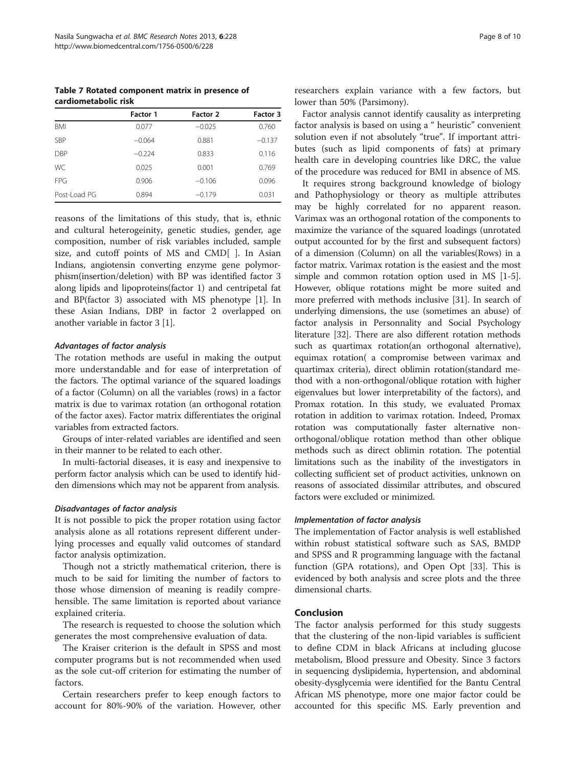<span id="page-7-0"></span>Table 7 Rotated component matrix in presence of cardiometabolic risk

|              | <b>Factor 1</b> | Factor 2 | Factor 3 |
|--------------|-----------------|----------|----------|
| <b>BMI</b>   | 0.077           | $-0.025$ | 0.760    |
| <b>SBP</b>   | $-0.064$        | 0.881    | $-0.137$ |
| <b>DBP</b>   | $-0.224$        | 0.833    | 0.116    |
| WC.          | 0.025           | 0.001    | 0.769    |
| <b>FPG</b>   | 0.906           | $-0.106$ | 0.096    |
| Post-Load PG | 0.894           | $-0.179$ | 0.031    |

reasons of the limitations of this study, that is, ethnic and cultural heterogeinity, genetic studies, gender, age composition, number of risk variables included, sample size, and cutoff points of MS and CMD[ ]. In Asian Indians, angiotensin converting enzyme gene polymorphism(insertion/deletion) with BP was identified factor 3 along lipids and lipoproteins(factor 1) and centripetal fat and BP(factor 3) associated with MS phenotype [\[1](#page-8-0)]. In these Asian Indians, DBP in factor 2 overlapped on another variable in factor 3 [[1\]](#page-8-0).

#### Advantages of factor analysis

The rotation methods are useful in making the output more understandable and for ease of interpretation of the factors. The optimal variance of the squared loadings of a factor (Column) on all the variables (rows) in a factor matrix is due to varimax rotation (an orthogonal rotation of the factor axes). Factor matrix differentiates the original variables from extracted factors.

Groups of inter-related variables are identified and seen in their manner to be related to each other.

In multi-factorial diseases, it is easy and inexpensive to perform factor analysis which can be used to identify hidden dimensions which may not be apparent from analysis.

#### Disadvantages of factor analysis

It is not possible to pick the proper rotation using factor analysis alone as all rotations represent different underlying processes and equally valid outcomes of standard factor analysis optimization.

Though not a strictly mathematical criterion, there is much to be said for limiting the number of factors to those whose dimension of meaning is readily comprehensible. The same limitation is reported about variance explained criteria.

The research is requested to choose the solution which generates the most comprehensive evaluation of data.

The Kraiser criterion is the default in SPSS and most computer programs but is not recommended when used as the sole cut-off criterion for estimating the number of factors.

Certain researchers prefer to keep enough factors to account for 80%-90% of the variation. However, other

researchers explain variance with a few factors, but lower than 50% (Parsimony).

Factor analysis cannot identify causality as interpreting factor analysis is based on using a " heuristic" convenient solution even if not absolutely "true". If important attributes (such as lipid components of fats) at primary health care in developing countries like DRC, the value of the procedure was reduced for BMI in absence of MS.

It requires strong background knowledge of biology and Pathophysiology or theory as multiple attributes may be highly correlated for no apparent reason. Varimax was an orthogonal rotation of the components to maximize the variance of the squared loadings (unrotated output accounted for by the first and subsequent factors) of a dimension (Column) on all the variables(Rows) in a factor matrix. Varimax rotation is the easiest and the most simple and common rotation option used in MS [\[1](#page-8-0)-[5](#page-8-0)]. However, oblique rotations might be more suited and more preferred with methods inclusive [[31](#page-9-0)]. In search of underlying dimensions, the use (sometimes an abuse) of factor analysis in Personnality and Social Psychology literature [\[32\]](#page-9-0). There are also different rotation methods such as quartimax rotation(an orthogonal alternative), equimax rotation( a compromise between varimax and quartimax criteria), direct oblimin rotation(standard method with a non-orthogonal/oblique rotation with higher eigenvalues but lower interpretability of the factors), and Promax rotation. In this study, we evaluated Promax rotation in addition to varimax rotation. Indeed, Promax rotation was computationally faster alternative nonorthogonal/oblique rotation method than other oblique methods such as direct oblimin rotation. The potential limitations such as the inability of the investigators in collecting sufficient set of product activities, unknown on reasons of associated dissimilar attributes, and obscured factors were excluded or minimized.

#### Implementation of factor analysis

The implementation of Factor analysis is well established within robust statistical software such as SAS, BMDP and SPSS and R programming language with the factanal function (GPA rotations), and Open Opt [\[33](#page-9-0)]. This is evidenced by both analysis and scree plots and the three dimensional charts.

#### Conclusion

The factor analysis performed for this study suggests that the clustering of the non-lipid variables is sufficient to define CDM in black Africans at including glucose metabolism, Blood pressure and Obesity. Since 3 factors in sequencing dyslipidemia, hypertension, and abdominal obesity-dysglycemia were identified for the Bantu Central African MS phenotype, more one major factor could be accounted for this specific MS. Early prevention and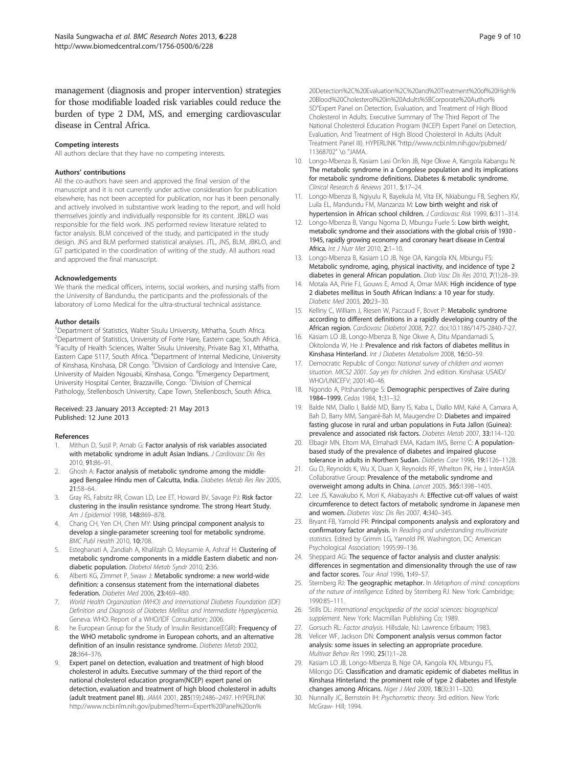<span id="page-8-0"></span>management (diagnosis and proper intervention) strategies for those modifiable loaded risk variables could reduce the burden of type 2 DM, MS, and emerging cardiovascular disease in Central Africa.

#### Competing interests

All authors declare that they have no competing interests.

#### Authors' contributions

All the co-authors have seen and approved the final version of the manuscript and it is not currently under active consideration for publication elsewhere, has not been accepted for publication, nor has it been personally and actively involved in substantive work leading to the report, and will hold themselves jointly and individually responsible for its content. JBKLO was responsible for the field work. JNS performed review literature related to factor analysis. BLM conceived of the study, and participated in the study design. JNS and BLM performed statistical analyses. JTL, JNS, BLM, JBKLO, and GT participated in the coordination of writing of the study. All authors read and approved the final manuscript.

#### Acknowledgements

We thank the medical officers, interns, social workers, and nursing staffs from the University of Bandundu, the participants and the professionals of the laboratory of Lomo Medical for the ultra-structural technical assistance.

#### Author details

<sup>1</sup>Department of Statistics, Walter Sisulu University, Mthatha, South Africa. <sup>2</sup>Department of Statistics, University of Forte Hare, Eastern cape, South Africa. <sup>3</sup>Faculty of Health Sciences, Walter Sisulu University, Private Bag X1, Mthatha, Eastern Cape 5117, South Africa. <sup>4</sup>Department of Internal Medicine, University of Kinshasa, Kinshasa, DR Congo. <sup>5</sup>Division of Cardiology and Intensive Care, University of Maiden Ngouabi, Kinshasa, Congo. <sup>6</sup>Emergency Department, University Hospital Center, Brazzaville, Congo. <sup>7</sup> Division of Chemical Pathology, Stellenbosch University, Cape Town, Stellenbosch, South Africa.

#### Received: 23 January 2013 Accepted: 21 May 2013 Published: 12 June 2013

#### References

- Mithun D, Susil P, Arnab G: Factor analysis of risk variables associated with metabolic syndrome in adult Asian Indians. J Cardiovasc Dis Res 2010, 91:86–91.
- 2. Ghosh A: Factor analysis of metabolic syndrome among the middleaged Bengalee Hindu men of Calcutta, India. Diabetes Metab Res Rev 2005, 21:58–64.
- 3. Gray RS, Fabsitz RR, Cowan LD, Lee FT, Howard BV, Savage PJ: Risk factor clustering in the insulin resistance syndrome. The strong Heart Study. Am J Epidemiol 1998, 148:869–878.
- 4. Chang CH, Yen CH, Chen MY: Using principal component analysis to develop a single-parameter screening tool for metabolic syndrome. BMC Publ Health 2010, 10:708.
- 5. Esteghanati A, Zandiah A, Khalilzah O, Meysamie A, Ashraf H: Clustering of metabolic syndrome components in a middle Eastern diabetic and nondiabetic population. Diabetol Metab Syndr 2010, 2:36.
- 6. Alberti KG, Zimmet P, Swaw J: Metabolic syndrome: a new world-wide definition: a consensus statement from the international diabetes federation. Diabetes Med 2006, 23:469–480.
- 7. World Health Organization (WHO) and International Diabetes Foundation (IDF) Definition and Diagnosis of Diabetes Mellitus and Intermediate Hyperglycemia. Geneva: WHO: Report of a WHO/IDF Consultation; 2006.
- he European Group for the Study of Insulin Resistance(EGIR): Frequency of the WHO metabolic syndrome in European cohorts, and an alternative definition of an insulin resistance syndrome. Diabetes Metab 2002, 28:364–376.
- Expert panel on detection, evaluation and treatment of high blood cholesterol in adults. Executive summary of the third report of the national cholesterol education program(NCEP) expert panel on detection, evaluation and treatment of high blood cholesterol in adults (adult treatment panel III). JAMA 2001, 285(19):2486–2497. HYPERLINK [http://www.ncbi.nlm.nih.gov/pubmed?term=Expert%20Panel%20on%](http://www.ncbi.nlm.nih.gov/pubmed?term=Expert%20Panel%20on%20Detection%2C%20Evaluation%2C%20and%20Treatment%20of%20High%20Blood%20Cholesterol%20in%20Adults%5BCorporate%20Author%5D%22Expert)

[20Detection%2C%20Evaluation%2C%20and%20Treatment%20of%20High%](http://www.ncbi.nlm.nih.gov/pubmed?term=Expert%20Panel%20on%20Detection%2C%20Evaluation%2C%20and%20Treatment%20of%20High%20Blood%20Cholesterol%20in%20Adults%5BCorporate%20Author%5D%22Expert) [20Blood%20Cholesterol%20in%20Adults%5BCorporate%20Author%](http://www.ncbi.nlm.nih.gov/pubmed?term=Expert%20Panel%20on%20Detection%2C%20Evaluation%2C%20and%20Treatment%20of%20High%20Blood%20Cholesterol%20in%20Adults%5BCorporate%20Author%5D%22Expert) [5D"Expert](http://www.ncbi.nlm.nih.gov/pubmed?term=Expert%20Panel%20on%20Detection%2C%20Evaluation%2C%20and%20Treatment%20of%20High%20Blood%20Cholesterol%20in%20Adults%5BCorporate%20Author%5D%22Expert) Panel on Detection, Evaluation, and Treatment of High Blood Cholesterol in Adults. Executive Summary of The Third Report of The National Cholesterol Education Program (NCEP) Expert Panel on Detection, Evaluation, And Treatment of High Blood Cholesterol In Adults (Adult Treatment Panel III). HYPERLINK "[http://www.ncbi.nlm.nih.gov/pubmed/](http://www.ncbi.nlm.nih.gov/pubmed/11368702) [11368702](http://www.ncbi.nlm.nih.gov/pubmed/11368702)" \o "JAMA.

- 10. Longo-Mbenza B, Kasiam Lasi On'kin JB, Nge Okwe A, Kangola Kabangu N: The metabolic syndrome in a Congolese population and its implications for metabolic syndrome definitions. Diabetes & metabolic syndrome. Clinical Research & Reviews 2011, 5:17–24.
- 11. Longo-Mbenza B, Ngiyulu R, Bayekula M, Vita EK, Nkiabungu FB, Seghers KV, Luila EL, Mandundu FM, Manzanza M: Low birth weight and risk of hypertension in African school children. J Cardiovasc Risk 1999, 6:311-314.
- 12. Longo-Mbenza B, Vangu Ngoma D, Mbungu Fuele S: Low birth weight, metabolic syndrome and their associations with the global crisis of 1930 - 1945, rapidly growing economy and coronary heart disease in Central Africa. Int J Nutr Met 2010, 2:1–10.
- 13. Longo-Mbenza B, Kasiam LO JB, Nge OA, Kangola KN, Mbungu FS: Metabolic syndrome, aging, physical inactivity, and incidence of type 2 diabetes in general African population. Diab Vasc Dis Res 2010, 7(1):28–39.
- 14. Motala AA, Pirie FJ, Gouws E, Amod A, Omar MAK: High incidence of type 2 diabetes mellitus in South African Indians: a 10 year for study. Diabetic Med 2003, 20:23–30.
- 15. Kelliny C, William J, Riesen W, Paccaud F, Bovet P: Metabolic syndrome according to different definitions in a rapidly developing country of the African region. Cardiovasc Diabetol 2008, 7:27. doi:[10.1186/1475-2840-7-27.](http://dx.doi.org/10.1186/1475-2840-7-27)
- 16. Kasiam LO JB, Longo-Mbenza B, Nge Okwe A, Ditu Mpandamadi S, Okitolonda W, He J: Prevalence and risk factors of diabetes mellitus in Kinshasa Hinterland. Int J Diabetes Metabolism 2008, 16:50–59.
- 17. Democratic Republic of Congo: National survey of children and women situation. MICS2 2001. Say yes for children. 2nd edition. Kinshasa: USAID/ WHO/UNICEFV; 2001:40–46.
- 18. Ngondo A, Pitshandenge S: Demographic perspectives of Zaïre during 1984–1999. Cedas 1984, 1:31–32.
- 19. Balde NM, Diallo I, Baldé MD, Barry IS, Kaba L, Diallo MM, Kaké A, Camara A, Bah D, Barry MM, Sangaré-Bah M, Maugendre D: Diabetes and impaired fasting glucose in rural and urban populations in Futa Jallon (Guinea): prevalence and associated risk factors. Diabetes Metab 2007, 33:114–120.
- 20. Elbagir MN, Eltom MA, Elmahadi EMA, Kadam IMS, Berne C: A populationbased study of the prevalence of diabetes and impaired glucose tolerance in adults in Northern Sudan. Diabetes Care 1996, 19:1126–1128.
- 21. Gu D, Reynolds K, Wu X, Duan X, Reynolds RF, Whelton PK, He J, InterASIA Collaborative Group: Prevalence of the metabolic syndrome and overweight among adults in China. Lancet 2005, 365:1398–1405.
- 22. Lee JS, Kawakubo K, Mori K, Akabayashi A: Effective cut-off values of waist circumference to detect factors of metabolic syndrome in Japanese men and women. Diabetes Vasc Dis Res 2007, 4:340–345.
- 23. Bryant FB, Yarnold PR: Principal components analysis and exploratory and confirmatory factor analysis. In Reading and understanding multivariate statistics. Edited by Grimm LG, Yarnold PR. Washington, DC: American Psychological Association; 1995:99–136.
- 24. Sheppard AG: The sequence of factor analysis and cluster analysis: differences in segmentation and dimensionality through the use of raw and factor scores. Tour Anal 1996, 1:49–57.
- 25. Sternberg RJ: The geographic metaphor. In Metaphors of mind: conceptions of the nature of intelligence. Edited by Sternberg RJ. New York: Cambridge; 1990:85–111.
- 26. Stills DL: International encyclopedia of the social sciences: biographical supplement. New York: Macmillan Publishing Co; 1989.
- 27. Gorsuch RL: Factor analysis. Hillsdale, NJ: Lawrence Erlbaum; 1983.
- 28. Velicer WF, Jackson DN: Component analysis versus common factor analysis: some issues in selecting an appropriate procedure. Multivar Behav Res 1990, 25(1):1–28.
- 29. Kasiam LO JB, Longo-Mbenza B, Nge OA, Kangola KN, Mbungu FS, Milongo DG: Classification and dramatic epidemic of diabetes mellitus in Kinshasa Hinterland: the prominent role of type 2 diabetes and lifestyle changes among Africans. Niger J Med 2009, 18(3):311–320.
- 30. Nunnally JC, Bernstein IH: Psychometric theory. 3rd edition. New York: McGraw- Hill; 1994.